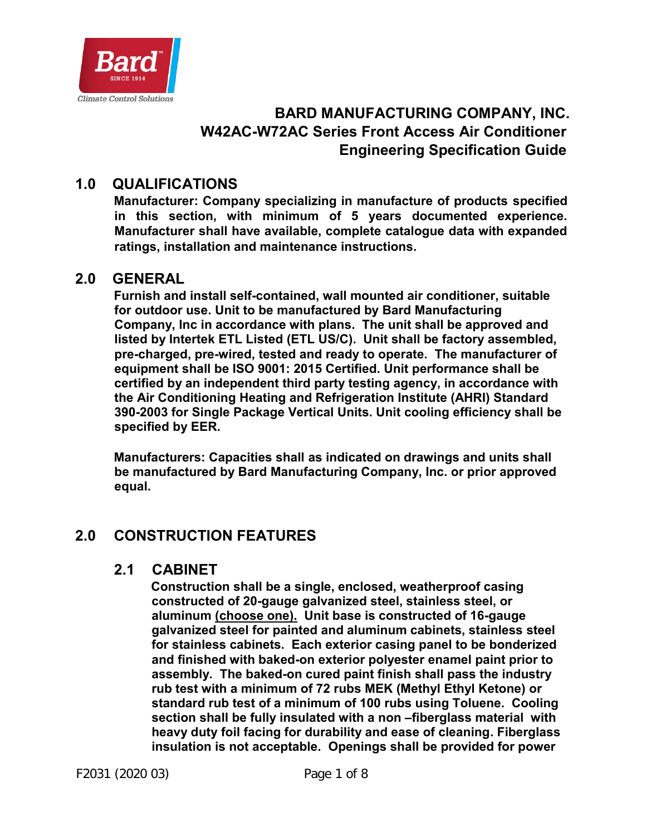

# **BARD MANUFACTURING COMPANY, INC. W42AC-W72AC Series Front Access Air Conditioner Engineering Specification Guide**

# **1.0 QUALIFICATIONS**

**Manufacturer: Company specializing in manufacture of products specified in this section, with minimum of 5 years documented experience. Manufacturer shall have available, complete catalogue data with expanded ratings, installation and maintenance instructions.** 

#### **2.0 GENERAL**

**Furnish and install self-contained, wall mounted air conditioner, suitable for outdoor use. Unit to be manufactured by Bard Manufacturing Company, Inc in accordance with plans. The unit shall be approved and listed by Intertek ETL Listed (ETL US/C). Unit shall be factory assembled, pre-charged, pre-wired, tested and ready to operate. The manufacturer of equipment shall be ISO 9001: 2015 Certified. Unit performance shall be certified by an independent third party testing agency, in accordance with the Air Conditioning Heating and Refrigeration Institute (AHRI) Standard 390-2003 for Single Package Vertical Units. Unit cooling efficiency shall be specified by EER.** 

**Manufacturers: Capacities shall as indicated on drawings and units shall be manufactured by Bard Manufacturing Company, Inc. or prior approved equal.** 

# **2.0 CONSTRUCTION FEATURES**

### **2.1 CABINET**

**Construction shall be a single, enclosed, weatherproof casing constructed of 20-gauge galvanized steel, stainless steel, or aluminum (choose one). Unit base is constructed of 16-gauge galvanized steel for painted and aluminum cabinets, stainless steel for stainless cabinets. Each exterior casing panel to be bonderized and finished with baked-on exterior polyester enamel paint prior to assembly. The baked-on cured paint finish shall pass the industry rub test with a minimum of 72 rubs MEK (Methyl Ethyl Ketone) or standard rub test of a minimum of 100 rubs using Toluene. Cooling section shall be fully insulated with a non –fiberglass material with heavy duty foil facing for durability and ease of cleaning. Fiberglass insulation is not acceptable. Openings shall be provided for power**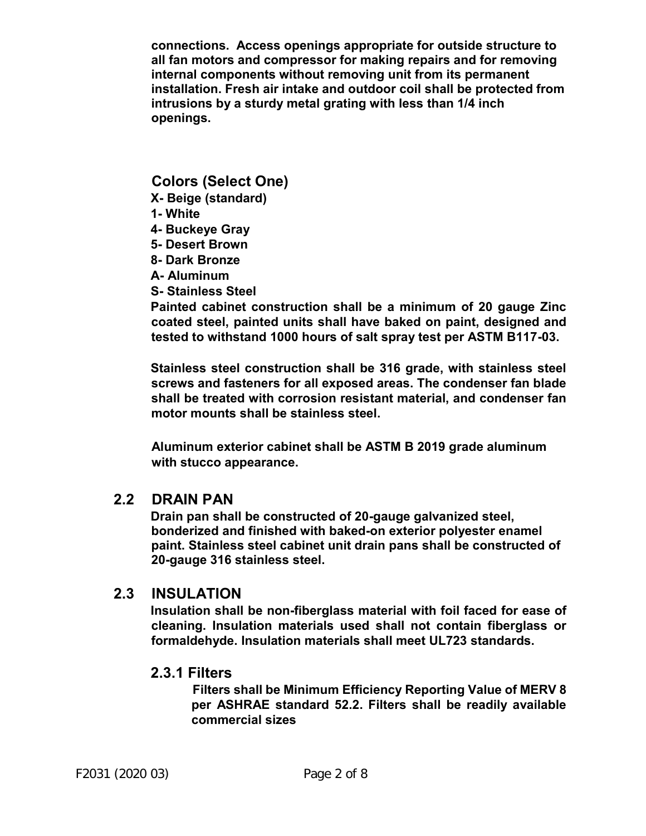**connections. Access openings appropriate for outside structure to all fan motors and compressor for making repairs and for removing internal components without removing unit from its permanent installation. Fresh air intake and outdoor coil shall be protected from intrusions by a sturdy metal grating with less than 1/4 inch openings.** 

#### **Colors (Select One)**

- **X- Beige (standard)**
- **1- White**
- **4- Buckeye Gray**
- **5- Desert Brown**
- **8- Dark Bronze**
- **A- Aluminum**
- **S- Stainless Steel**

**Painted cabinet construction shall be a minimum of 20 gauge Zinc coated steel, painted units shall have baked on paint, designed and tested to withstand 1000 hours of salt spray test per ASTM B117-03.**

**Stainless steel construction shall be 316 grade, with stainless steel screws and fasteners for all exposed areas. The condenser fan blade shall be treated with corrosion resistant material, and condenser fan motor mounts shall be stainless steel.** 

**Aluminum exterior cabinet shall be ASTM B 2019 grade aluminum with stucco appearance.** 

### **2.2 DRAIN PAN**

**Drain pan shall be constructed of 20-gauge galvanized steel, bonderized and finished with baked-on exterior polyester enamel paint. Stainless steel cabinet unit drain pans shall be constructed of 20-gauge 316 stainless steel.** 

#### **2.3 INSULATION**

**Insulation shall be non-fiberglass material with foil faced for ease of cleaning. Insulation materials used shall not contain fiberglass or formaldehyde. Insulation materials shall meet UL723 standards.** 

#### **2.3.1 Filters**

 **Filters shall be Minimum Efficiency Reporting Value of MERV 8 per ASHRAE standard 52.2. Filters shall be readily available commercial sizes**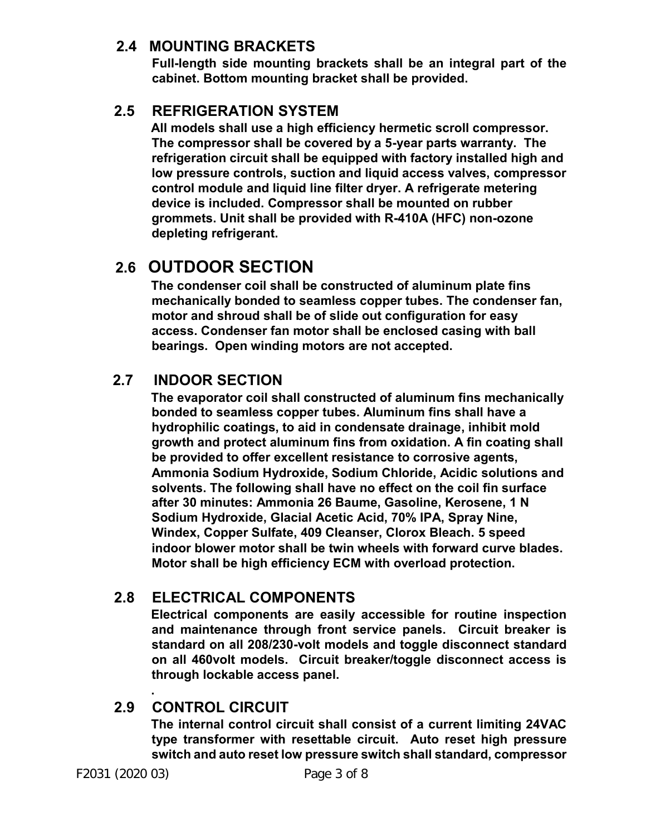## **2.4 MOUNTING BRACKETS**

**Full-length side mounting brackets shall be an integral part of the cabinet. Bottom mounting bracket shall be provided.** 

# **2.5 REFRIGERATION SYSTEM**

**All models shall use a high efficiency hermetic scroll compressor. The compressor shall be covered by a 5-year parts warranty. The refrigeration circuit shall be equipped with factory installed high and low pressure controls, suction and liquid access valves, compressor control module and liquid line filter dryer. A refrigerate metering device is included. Compressor shall be mounted on rubber grommets. Unit shall be provided with R-410A (HFC) non-ozone depleting refrigerant.** 

# **2.6 OUTDOOR SECTION**

**The condenser coil shall be constructed of aluminum plate fins mechanically bonded to seamless copper tubes. The condenser fan, motor and shroud shall be of slide out configuration for easy access. Condenser fan motor shall be enclosed casing with ball bearings. Open winding motors are not accepted.** 

# **2.7 INDOOR SECTION**

**The evaporator coil shall constructed of aluminum fins mechanically bonded to seamless copper tubes. Aluminum fins shall have a hydrophilic coatings, to aid in condensate drainage, inhibit mold growth and protect aluminum fins from oxidation. A fin coating shall be provided to offer excellent resistance to corrosive agents, Ammonia Sodium Hydroxide, Sodium Chloride, Acidic solutions and solvents. The following shall have no effect on the coil fin surface after 30 minutes: Ammonia 26 Baume, Gasoline, Kerosene, 1 N Sodium Hydroxide, Glacial Acetic Acid, 70% IPA, Spray Nine, Windex, Copper Sulfate, 409 Cleanser, Clorox Bleach. 5 speed indoor blower motor shall be twin wheels with forward curve blades. Motor shall be high efficiency ECM with overload protection.** 

# **2.8 ELECTRICAL COMPONENTS**

**Electrical components are easily accessible for routine inspection and maintenance through front service panels. Circuit breaker is standard on all 208/230-volt models and toggle disconnect standard on all 460volt models. Circuit breaker/toggle disconnect access is through lockable access panel.** 

#### **. 2.9 CONTROL CIRCUIT**

**The internal control circuit shall consist of a current limiting 24VAC type transformer with resettable circuit. Auto reset high pressure switch and auto reset low pressure switch shall standard, compressor**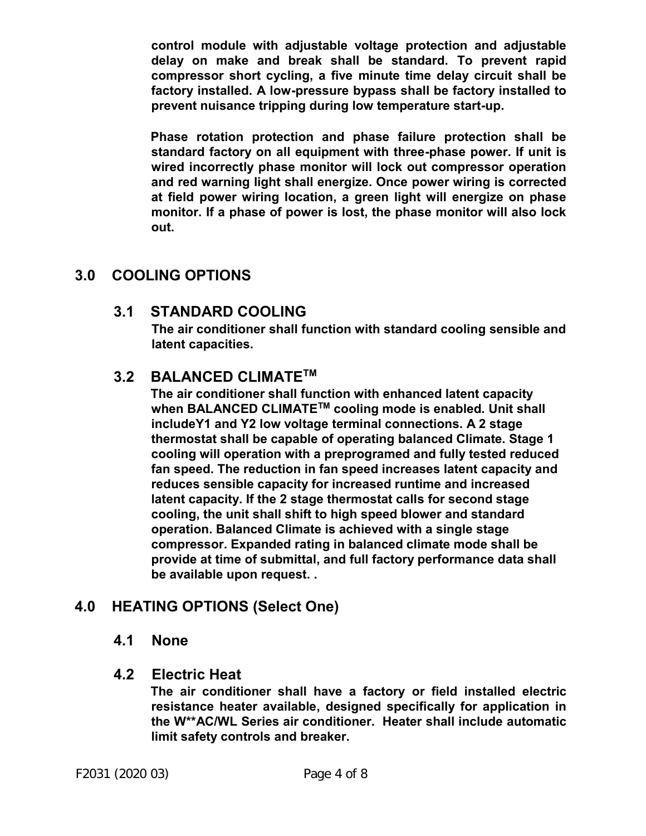**control module with adjustable voltage protection and adjustable delay on make and break shall be standard. To prevent rapid compressor short cycling, a five minute time delay circuit shall be factory installed. A low-pressure bypass shall be factory installed to prevent nuisance tripping during low temperature start-up.** 

**Phase rotation protection and phase failure protection shall be standard factory on all equipment with three-phase power. If unit is wired incorrectly phase monitor will lock out compressor operation and red warning light shall energize. Once power wiring is corrected at field power wiring location, a green light will energize on phase monitor. If a phase of power is lost, the phase monitor will also lock out.** 

# **3.0 COOLING OPTIONS**

# **3.1 STANDARD COOLING**

**The air conditioner shall function with standard cooling sensible and latent capacities.** 

# **3.2 BALANCED CLIMATETM**

**The air conditioner shall function with enhanced latent capacity when BALANCED CLIMATETM cooling mode is enabled. Unit shall includeY1 and Y2 low voltage terminal connections. A 2 stage thermostat shall be capable of operating balanced Climate. Stage 1 cooling will operation with a preprogramed and fully tested reduced fan speed. The reduction in fan speed increases latent capacity and reduces sensible capacity for increased runtime and increased latent capacity. If the 2 stage thermostat calls for second stage cooling, the unit shall shift to high speed blower and standard operation. Balanced Climate is achieved with a single stage compressor. Expanded rating in balanced climate mode shall be provide at time of submittal, and full factory performance data shall be available upon request. .** 

# **4.0 HEATING OPTIONS (Select One)**

### **4.1 None**

### **4.2 Electric Heat**

**The air conditioner shall have a factory or field installed electric resistance heater available, designed specifically for application in the W\*\*AC/WL Series air conditioner. Heater shall include automatic limit safety controls and breaker.**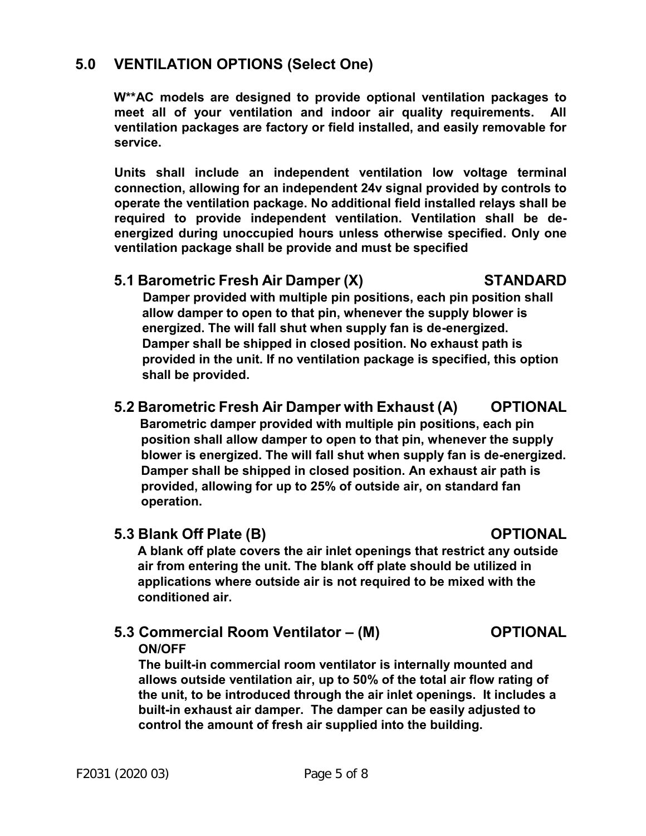# **5.0 VENTILATION OPTIONS (Select One)**

**W\*\*AC models are designed to provide optional ventilation packages to meet all of your ventilation and indoor air quality requirements. All ventilation packages are factory or field installed, and easily removable for service.** 

**Units shall include an independent ventilation low voltage terminal connection, allowing for an independent 24v signal provided by controls to operate the ventilation package. No additional field installed relays shall be required to provide independent ventilation. Ventilation shall be deenergized during unoccupied hours unless otherwise specified. Only one ventilation package shall be provide and must be specified** 

#### **5.1 Barometric Fresh Air Damper (X) STANDARD**

 **Damper provided with multiple pin positions, each pin position shall allow damper to open to that pin, whenever the supply blower is energized. The will fall shut when supply fan is de-energized. Damper shall be shipped in closed position. No exhaust path is provided in the unit. If no ventilation package is specified, this option shall be provided.** 

## **5.2 Barometric Fresh Air Damper with Exhaust (A) OPTIONAL**

 **Barometric damper provided with multiple pin positions, each pin position shall allow damper to open to that pin, whenever the supply blower is energized. The will fall shut when supply fan is de-energized. Damper shall be shipped in closed position. An exhaust air path is provided, allowing for up to 25% of outside air, on standard fan operation.** 

### **5.3 Blank Off Plate (B) COPTIONAL**

**A blank off plate covers the air inlet openings that restrict any outside air from entering the unit. The blank off plate should be utilized in applications where outside air is not required to be mixed with the conditioned air.** 

### **5.3 Commercial Room Ventilator – (M) OPTIONAL ON/OFF**

**The built-in commercial room ventilator is internally mounted and allows outside ventilation air, up to 50% of the total air flow rating of the unit, to be introduced through the air inlet openings. It includes a built-in exhaust air damper. The damper can be easily adjusted to control the amount of fresh air supplied into the building.**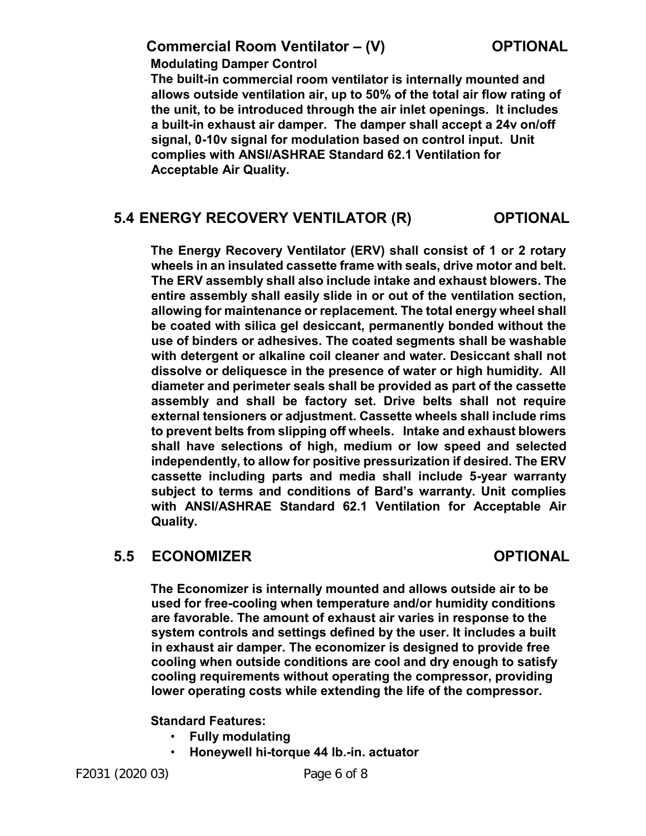## **Commercial Room Ventilator – (V) COPTIONAL**

 **Modulating Damper Control** 

**The built-in commercial room ventilator is internally mounted and allows outside ventilation air, up to 50% of the total air flow rating of the unit, to be introduced through the air inlet openings. It includes a built-in exhaust air damper. The damper shall accept a 24v on/off signal, 0-10v signal for modulation based on control input. Unit complies with ANSI/ASHRAE Standard 62.1 Ventilation for Acceptable Air Quality.** 

### **5.4 ENERGY RECOVERY VENTILATOR (R) OPTIONAL**

**The Energy Recovery Ventilator (ERV) shall consist of 1 or 2 rotary wheels in an insulated cassette frame with seals, drive motor and belt. The ERV assembly shall also include intake and exhaust blowers. The entire assembly shall easily slide in or out of the ventilation section, allowing for maintenance or replacement. The total energy wheel shall be coated with silica gel desiccant, permanently bonded without the use of binders or adhesives. The coated segments shall be washable with detergent or alkaline coil cleaner and water. Desiccant shall not dissolve or deliquesce in the presence of water or high humidity. All diameter and perimeter seals shall be provided as part of the cassette assembly and shall be factory set. Drive belts shall not require external tensioners or adjustment. Cassette wheels shall include rims to prevent belts from slipping off wheels. Intake and exhaust blowers shall have selections of high, medium or low speed and selected independently, to allow for positive pressurization if desired. The ERV cassette including parts and media shall include 5-year warranty subject to terms and conditions of Bard's warranty. Unit complies with ANSI/ASHRAE Standard 62.1 Ventilation for Acceptable Air Quality.** 

# **5.5 ECONOMIZER OPTIONAL**

**The Economizer is internally mounted and allows outside air to be used for free-cooling when temperature and/or humidity conditions are favorable. The amount of exhaust air varies in response to the system controls and settings defined by the user. It includes a built in exhaust air damper. The economizer is designed to provide free cooling when outside conditions are cool and dry enough to satisfy cooling requirements without operating the compressor, providing lower operating costs while extending the life of the compressor.** 

#### **Standard Features:**

- **Fully modulating**
- **Honeywell hi-torque 44 lb.-in. actuator**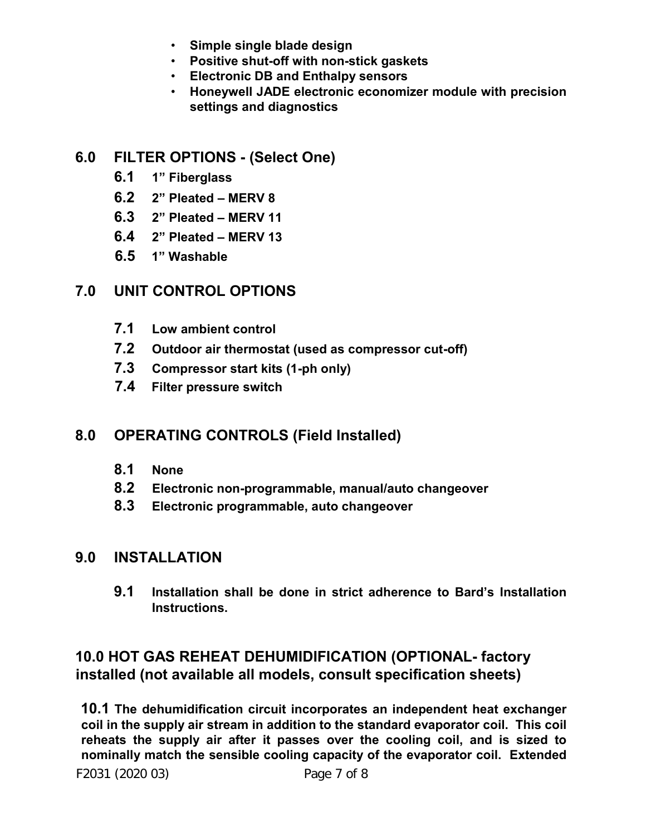- **Simple single blade design**
- **Positive shut-off with non-stick gaskets**
- **Electronic DB and Enthalpy sensors**
- **Honeywell JADE electronic economizer module with precision settings and diagnostics**

# **6.0 FILTER OPTIONS - (Select One)**

- **6.1 1" Fiberglass**
- **6.2 2" Pleated MERV 8**
- **6.3 2" Pleated MERV 11**
- **6.4 2" Pleated MERV 13**
- **6.5 1" Washable**

# **7.0 UNIT CONTROL OPTIONS**

- **7.1 Low ambient control**
- **7.2 Outdoor air thermostat (used as compressor cut-off)**
- **7.3 Compressor start kits (1-ph only)**
- **7.4 Filter pressure switch**

# **8.0 OPERATING CONTROLS (Field Installed)**

- **8.1 None**
- **8.2 Electronic non-programmable, manual/auto changeover**
- **8.3 Electronic programmable, auto changeover**

# **9.0 INSTALLATION**

**9.1 Installation shall be done in strict adherence to Bard's Installation Instructions.** 

# **10.0 HOT GAS REHEAT DEHUMIDIFICATION (OPTIONAL- factory installed (not available all models, consult specification sheets)**

**10.1 The dehumidification circuit incorporates an independent heat exchanger coil in the supply air stream in addition to the standard evaporator coil. This coil reheats the supply air after it passes over the cooling coil, and is sized to nominally match the sensible cooling capacity of the evaporator coil. Extended**